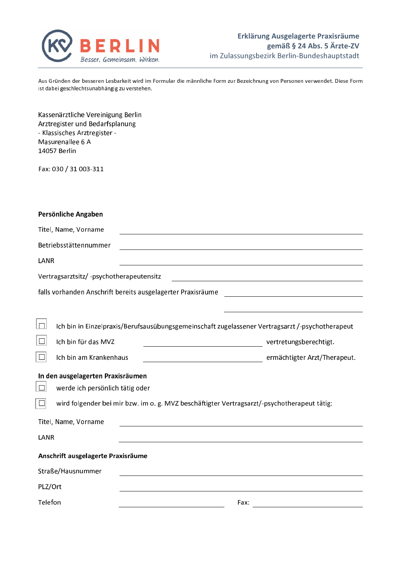

Aus Gründen der besseren Lesbarkeit wird im Formular die männliche Form zur Bezeichnung von Personen verwendet. Diese Form ist dabei geschlechtsunabhängig zu verstehen.

| Kassenärztliche Vereinigung Berlin<br>Arztregister und Bedarfsplanung<br>- Klassisches Arztregister -<br>Masurenallee 6 A<br>14057 Berlin |                                                                                                                      |  |  |  |  |
|-------------------------------------------------------------------------------------------------------------------------------------------|----------------------------------------------------------------------------------------------------------------------|--|--|--|--|
| Fax: 030 / 31 003-311                                                                                                                     |                                                                                                                      |  |  |  |  |
|                                                                                                                                           |                                                                                                                      |  |  |  |  |
| Persönliche Angaben                                                                                                                       |                                                                                                                      |  |  |  |  |
| Titel, Name, Vorname                                                                                                                      | <u> 1980 - Johann Stoff, deutscher Stoffen und der Stoffen und der Stoffen und der Stoffen und der Stoffen und d</u> |  |  |  |  |
| Betriebsstättennummer                                                                                                                     |                                                                                                                      |  |  |  |  |
| LANR                                                                                                                                      |                                                                                                                      |  |  |  |  |
| Vertragsarztsitz/-psychotherapeutensitz                                                                                                   |                                                                                                                      |  |  |  |  |
| falls vorhanden Anschrift bereits ausgelagerter Praxisräume                                                                               |                                                                                                                      |  |  |  |  |
|                                                                                                                                           |                                                                                                                      |  |  |  |  |
| $\Box$                                                                                                                                    | Ich bin in Einzelpraxis/Berufsausübungsgemeinschaft zugelassener Vertragsarzt /-psychotherapeut                      |  |  |  |  |
| $ \Box $<br>Ich bin für das MVZ                                                                                                           | vertretungsberechtigt.                                                                                               |  |  |  |  |
| $\Box$<br>Ich bin am Krankenhaus                                                                                                          | ermächtigter Arzt/Therapeut.                                                                                         |  |  |  |  |
|                                                                                                                                           |                                                                                                                      |  |  |  |  |
| In den ausgelagerten Praxisräumen<br>$\Box$                                                                                               |                                                                                                                      |  |  |  |  |
| werde ich persönlich tätig oder<br>wird folgender bei mir bzw. im o. g. MVZ beschäftigter Vertragsarzt/-psychotherapeut tätig:            |                                                                                                                      |  |  |  |  |
| $\Box$                                                                                                                                    |                                                                                                                      |  |  |  |  |
| Titel, Name, Vorname                                                                                                                      |                                                                                                                      |  |  |  |  |
| LANR                                                                                                                                      |                                                                                                                      |  |  |  |  |
| Anschrift ausgelagerte Praxisräume                                                                                                        |                                                                                                                      |  |  |  |  |
| Straße/Hausnummer                                                                                                                         |                                                                                                                      |  |  |  |  |
| PLZ/Ort                                                                                                                                   |                                                                                                                      |  |  |  |  |
| Telefon                                                                                                                                   | Fax:                                                                                                                 |  |  |  |  |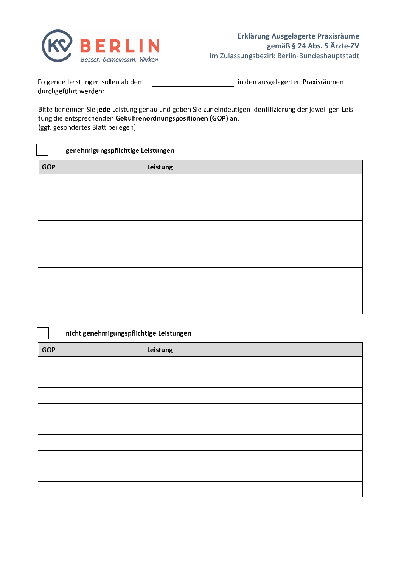

Folgende Leistungen sollen ab dem in den ausgelagerten Praxisräumen durchgeführt werden:

Bitte benennen Sie jede Leistung genau und geben Sie zur eindeutigen Identifizierung der jeweiligen Leistung die entsprechenden Gebührenordnungspositionen (GOP) an. (ggf. gesondertes Blatt beilegen)

genehmigungspflichtige Leistungen

| <b>GOP</b> | Leistung |
|------------|----------|
|            |          |
|            |          |
|            |          |
|            |          |
|            |          |
|            |          |
|            |          |
|            |          |
|            |          |

| nicht genehmigungspflichtige Leistungen |          |
|-----------------------------------------|----------|
| <b>GOP</b>                              | Leistung |
|                                         |          |
|                                         |          |
|                                         |          |
|                                         |          |
|                                         |          |
|                                         |          |
|                                         |          |
|                                         |          |
|                                         |          |
|                                         |          |